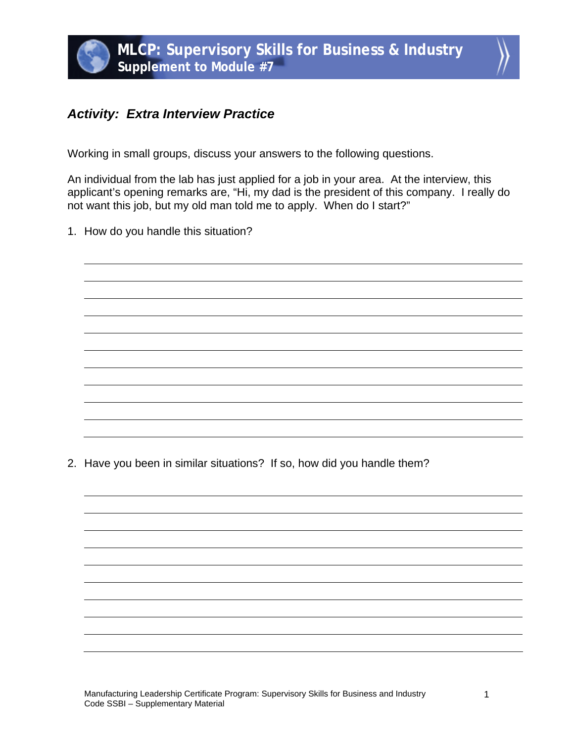## *Activity: Extra Interview Practice*

Working in small groups, discuss your answers to the following questions.

An individual from the lab has just applied for a job in your area. At the interview, this applicant's opening remarks are, "Hi, my dad is the president of this company. I really do not want this job, but my old man told me to apply. When do I start?"

1. How do you handle this situation?

2. Have you been in similar situations? If so, how did you handle them?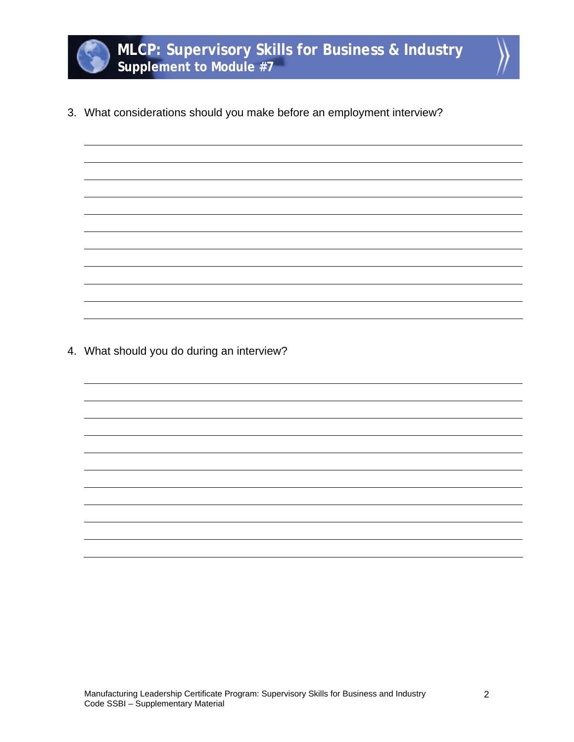

3. What considerations should you make before an employment interview?

4. What should you do during an interview?